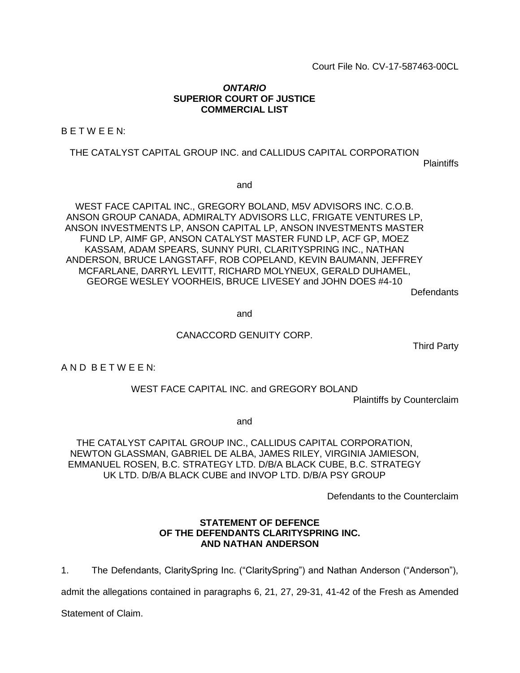Court File No. CV-17-587463-00CL

### *ONTARIO* **SUPERIOR COURT OF JUSTICE COMMERCIAL LIST**

B E T W E E N:

#### THE CATALYST CAPITAL GROUP INC. and CALLIDUS CAPITAL CORPORATION

**Plaintiffs** 

and

WEST FACE CAPITAL INC., GREGORY BOLAND, M5V ADVISORS INC. C.O.B. ANSON GROUP CANADA, ADMIRALTY ADVISORS LLC, FRIGATE VENTURES LP, ANSON INVESTMENTS LP, ANSON CAPITAL LP, ANSON INVESTMENTS MASTER FUND LP, AIMF GP, ANSON CATALYST MASTER FUND LP, ACF GP, MOEZ KASSAM, ADAM SPEARS, SUNNY PURI, CLARITYSPRING INC., NATHAN ANDERSON, BRUCE LANGSTAFF, ROB COPELAND, KEVIN BAUMANN, JEFFREY MCFARLANE, DARRYL LEVITT, RICHARD MOLYNEUX, GERALD DUHAMEL, GEORGE WESLEY VOORHEIS, BRUCE LIVESEY and JOHN DOES #4-10

Defendants

and

#### CANACCORD GENUITY CORP.

Third Party

A N D B E T W E E N:

WEST FACE CAPITAL INC. and GREGORY BOLAND

Plaintiffs by Counterclaim

and

THE CATALYST CAPITAL GROUP INC., CALLIDUS CAPITAL CORPORATION, NEWTON GLASSMAN, GABRIEL DE ALBA, JAMES RILEY, VIRGINIA JAMIESON, EMMANUEL ROSEN, B.C. STRATEGY LTD. D/B/A BLACK CUBE, B.C. STRATEGY UK LTD. D/B/A BLACK CUBE and INVOP LTD. D/B/A PSY GROUP

Defendants to the Counterclaim

### **STATEMENT OF DEFENCE OF THE DEFENDANTS CLARITYSPRING INC. AND NATHAN ANDERSON**

1. The Defendants, ClaritySpring Inc. ("ClaritySpring") and Nathan Anderson ("Anderson"),

admit the allegations contained in paragraphs 6, 21, 27, 29-31, 41-42 of the Fresh as Amended

Statement of Claim.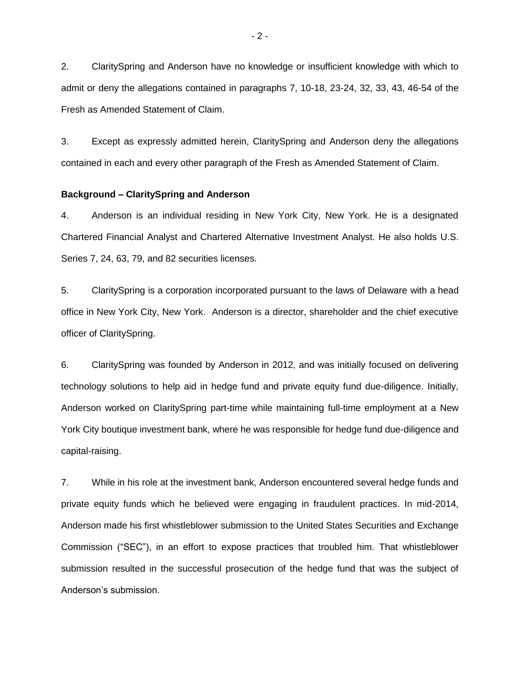2. ClaritySpring and Anderson have no knowledge or insufficient knowledge with which to admit or deny the allegations contained in paragraphs 7, 10-18, 23-24, 32, 33, 43, 46-54 of the Fresh as Amended Statement of Claim.

3. Except as expressly admitted herein, ClaritySpring and Anderson deny the allegations contained in each and every other paragraph of the Fresh as Amended Statement of Claim.

#### **Background – ClaritySpring and Anderson**

4. Anderson is an individual residing in New York City, New York. He is a designated Chartered Financial Analyst and Chartered Alternative Investment Analyst. He also holds U.S. Series 7, 24, 63, 79, and 82 securities licenses.

5. ClaritySpring is a corporation incorporated pursuant to the laws of Delaware with a head office in New York City, New York. Anderson is a director, shareholder and the chief executive officer of ClaritySpring.

6. ClaritySpring was founded by Anderson in 2012, and was initially focused on delivering technology solutions to help aid in hedge fund and private equity fund due-diligence. Initially, Anderson worked on ClaritySpring part-time while maintaining full-time employment at a New York City boutique investment bank, where he was responsible for hedge fund due-diligence and capital-raising.

7. While in his role at the investment bank, Anderson encountered several hedge funds and private equity funds which he believed were engaging in fraudulent practices. In mid-2014, Anderson made his first whistleblower submission to the United States Securities and Exchange Commission ("SEC"), in an effort to expose practices that troubled him. That whistleblower submission resulted in the successful prosecution of the hedge fund that was the subject of Anderson's submission.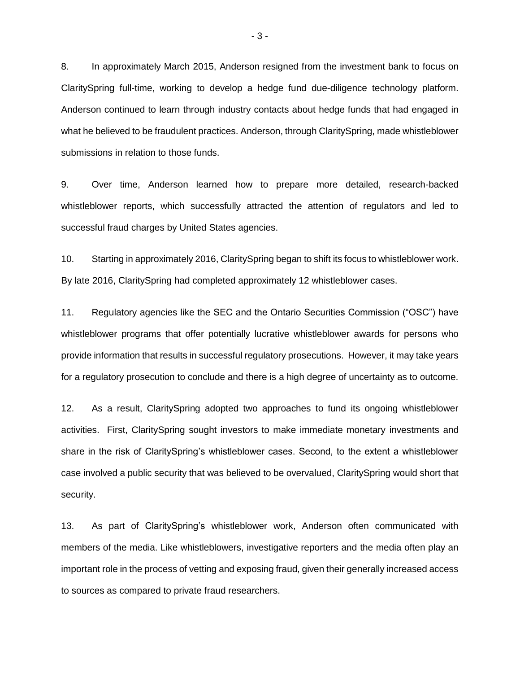8. In approximately March 2015, Anderson resigned from the investment bank to focus on ClaritySpring full-time, working to develop a hedge fund due-diligence technology platform. Anderson continued to learn through industry contacts about hedge funds that had engaged in what he believed to be fraudulent practices. Anderson, through ClaritySpring, made whistleblower submissions in relation to those funds.

9. Over time, Anderson learned how to prepare more detailed, research-backed whistleblower reports, which successfully attracted the attention of regulators and led to successful fraud charges by United States agencies.

10. Starting in approximately 2016, ClaritySpring began to shift its focus to whistleblower work. By late 2016, ClaritySpring had completed approximately 12 whistleblower cases.

11. Regulatory agencies like the SEC and the Ontario Securities Commission ("OSC") have whistleblower programs that offer potentially lucrative whistleblower awards for persons who provide information that results in successful regulatory prosecutions. However, it may take years for a regulatory prosecution to conclude and there is a high degree of uncertainty as to outcome.

12. As a result, ClaritySpring adopted two approaches to fund its ongoing whistleblower activities. First, ClaritySpring sought investors to make immediate monetary investments and share in the risk of ClaritySpring's whistleblower cases. Second, to the extent a whistleblower case involved a public security that was believed to be overvalued, ClaritySpring would short that security.

13. As part of ClaritySpring's whistleblower work, Anderson often communicated with members of the media. Like whistleblowers, investigative reporters and the media often play an important role in the process of vetting and exposing fraud, given their generally increased access to sources as compared to private fraud researchers.

- 3 -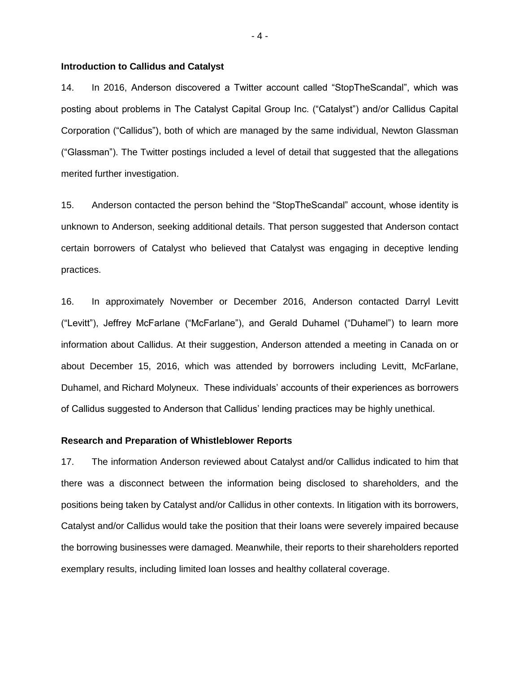#### **Introduction to Callidus and Catalyst**

14. In 2016, Anderson discovered a Twitter account called "StopTheScandal", which was posting about problems in The Catalyst Capital Group Inc. ("Catalyst") and/or Callidus Capital Corporation ("Callidus"), both of which are managed by the same individual, Newton Glassman ("Glassman"). The Twitter postings included a level of detail that suggested that the allegations merited further investigation.

15. Anderson contacted the person behind the "StopTheScandal" account, whose identity is unknown to Anderson, seeking additional details. That person suggested that Anderson contact certain borrowers of Catalyst who believed that Catalyst was engaging in deceptive lending practices.

16. In approximately November or December 2016, Anderson contacted Darryl Levitt ("Levitt"), Jeffrey McFarlane ("McFarlane"), and Gerald Duhamel ("Duhamel") to learn more information about Callidus. At their suggestion, Anderson attended a meeting in Canada on or about December 15, 2016, which was attended by borrowers including Levitt, McFarlane, Duhamel, and Richard Molyneux. These individuals' accounts of their experiences as borrowers of Callidus suggested to Anderson that Callidus' lending practices may be highly unethical.

#### **Research and Preparation of Whistleblower Reports**

17. The information Anderson reviewed about Catalyst and/or Callidus indicated to him that there was a disconnect between the information being disclosed to shareholders, and the positions being taken by Catalyst and/or Callidus in other contexts. In litigation with its borrowers, Catalyst and/or Callidus would take the position that their loans were severely impaired because the borrowing businesses were damaged. Meanwhile, their reports to their shareholders reported exemplary results, including limited loan losses and healthy collateral coverage.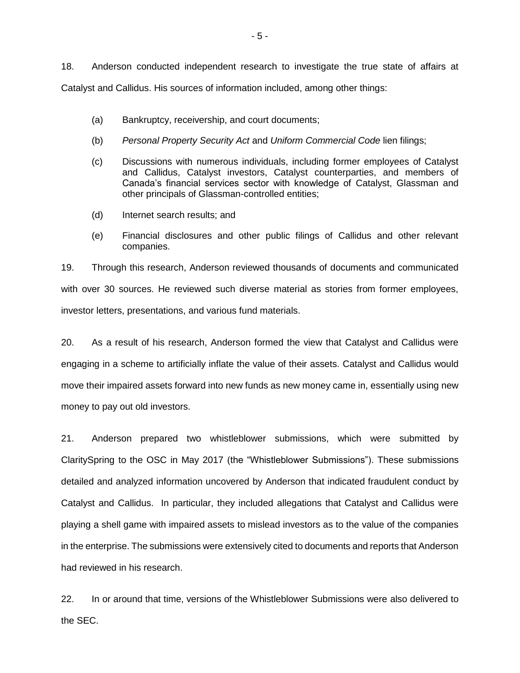18. Anderson conducted independent research to investigate the true state of affairs at Catalyst and Callidus. His sources of information included, among other things:

- (a) Bankruptcy, receivership, and court documents;
- (b) *Personal Property Security Act* and *Uniform Commercial Code* lien filings;
- (c) Discussions with numerous individuals, including former employees of Catalyst and Callidus, Catalyst investors, Catalyst counterparties, and members of Canada's financial services sector with knowledge of Catalyst, Glassman and other principals of Glassman-controlled entities;
- (d) Internet search results; and
- (e) Financial disclosures and other public filings of Callidus and other relevant companies.

19. Through this research, Anderson reviewed thousands of documents and communicated with over 30 sources. He reviewed such diverse material as stories from former employees, investor letters, presentations, and various fund materials.

20. As a result of his research, Anderson formed the view that Catalyst and Callidus were engaging in a scheme to artificially inflate the value of their assets. Catalyst and Callidus would move their impaired assets forward into new funds as new money came in, essentially using new money to pay out old investors.

21. Anderson prepared two whistleblower submissions, which were submitted by ClaritySpring to the OSC in May 2017 (the "Whistleblower Submissions"). These submissions detailed and analyzed information uncovered by Anderson that indicated fraudulent conduct by Catalyst and Callidus. In particular, they included allegations that Catalyst and Callidus were playing a shell game with impaired assets to mislead investors as to the value of the companies in the enterprise. The submissions were extensively cited to documents and reports that Anderson had reviewed in his research.

22. In or around that time, versions of the Whistleblower Submissions were also delivered to the SEC.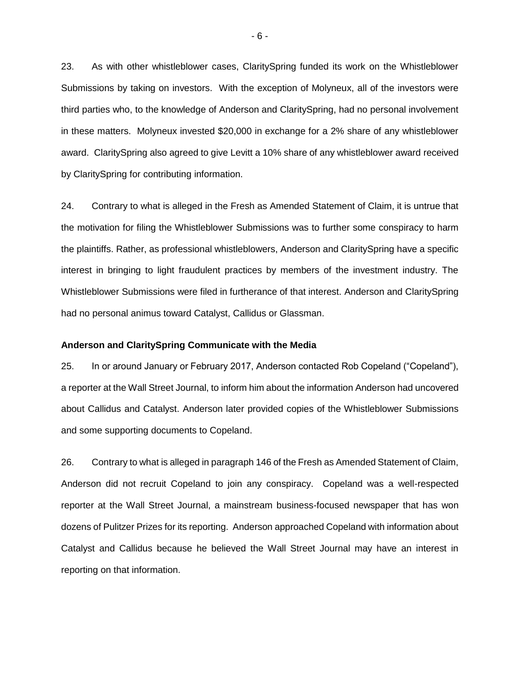23. As with other whistleblower cases, ClaritySpring funded its work on the Whistleblower Submissions by taking on investors. With the exception of Molyneux, all of the investors were third parties who, to the knowledge of Anderson and ClaritySpring, had no personal involvement in these matters. Molyneux invested \$20,000 in exchange for a 2% share of any whistleblower award. ClaritySpring also agreed to give Levitt a 10% share of any whistleblower award received by ClaritySpring for contributing information.

24. Contrary to what is alleged in the Fresh as Amended Statement of Claim, it is untrue that the motivation for filing the Whistleblower Submissions was to further some conspiracy to harm the plaintiffs. Rather, as professional whistleblowers, Anderson and ClaritySpring have a specific interest in bringing to light fraudulent practices by members of the investment industry. The Whistleblower Submissions were filed in furtherance of that interest. Anderson and ClaritySpring had no personal animus toward Catalyst, Callidus or Glassman.

#### **Anderson and ClaritySpring Communicate with the Media**

25. In or around January or February 2017, Anderson contacted Rob Copeland ("Copeland"), a reporter at the Wall Street Journal, to inform him about the information Anderson had uncovered about Callidus and Catalyst. Anderson later provided copies of the Whistleblower Submissions and some supporting documents to Copeland.

26. Contrary to what is alleged in paragraph 146 of the Fresh as Amended Statement of Claim, Anderson did not recruit Copeland to join any conspiracy. Copeland was a well-respected reporter at the Wall Street Journal, a mainstream business-focused newspaper that has won dozens of Pulitzer Prizes for its reporting. Anderson approached Copeland with information about Catalyst and Callidus because he believed the Wall Street Journal may have an interest in reporting on that information.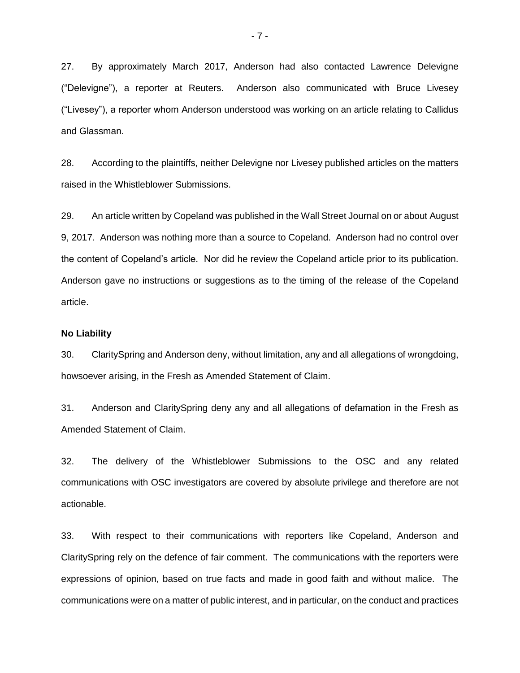27. By approximately March 2017, Anderson had also contacted Lawrence Delevigne ("Delevigne"), a reporter at Reuters. Anderson also communicated with Bruce Livesey ("Livesey"), a reporter whom Anderson understood was working on an article relating to Callidus and Glassman.

28. According to the plaintiffs, neither Delevigne nor Livesey published articles on the matters raised in the Whistleblower Submissions.

29. An article written by Copeland was published in the Wall Street Journal on or about August 9, 2017. Anderson was nothing more than a source to Copeland. Anderson had no control over the content of Copeland's article. Nor did he review the Copeland article prior to its publication. Anderson gave no instructions or suggestions as to the timing of the release of the Copeland article.

#### **No Liability**

30. ClaritySpring and Anderson deny, without limitation, any and all allegations of wrongdoing, howsoever arising, in the Fresh as Amended Statement of Claim.

31. Anderson and ClaritySpring deny any and all allegations of defamation in the Fresh as Amended Statement of Claim.

32. The delivery of the Whistleblower Submissions to the OSC and any related communications with OSC investigators are covered by absolute privilege and therefore are not actionable.

33. With respect to their communications with reporters like Copeland, Anderson and ClaritySpring rely on the defence of fair comment. The communications with the reporters were expressions of opinion, based on true facts and made in good faith and without malice. The communications were on a matter of public interest, and in particular, on the conduct and practices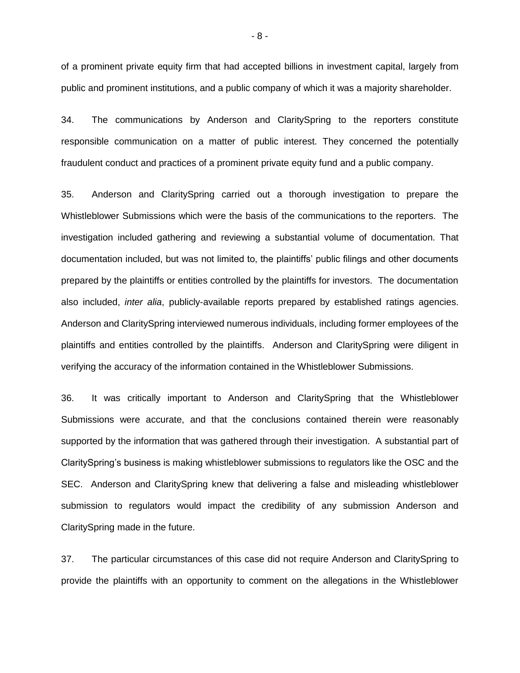of a prominent private equity firm that had accepted billions in investment capital, largely from public and prominent institutions, and a public company of which it was a majority shareholder.

34. The communications by Anderson and ClaritySpring to the reporters constitute responsible communication on a matter of public interest. They concerned the potentially fraudulent conduct and practices of a prominent private equity fund and a public company.

35. Anderson and ClaritySpring carried out a thorough investigation to prepare the Whistleblower Submissions which were the basis of the communications to the reporters. The investigation included gathering and reviewing a substantial volume of documentation. That documentation included, but was not limited to, the plaintiffs' public filings and other documents prepared by the plaintiffs or entities controlled by the plaintiffs for investors. The documentation also included, *inter alia*, publicly-available reports prepared by established ratings agencies. Anderson and ClaritySpring interviewed numerous individuals, including former employees of the plaintiffs and entities controlled by the plaintiffs. Anderson and ClaritySpring were diligent in verifying the accuracy of the information contained in the Whistleblower Submissions.

36. It was critically important to Anderson and ClaritySpring that the Whistleblower Submissions were accurate, and that the conclusions contained therein were reasonably supported by the information that was gathered through their investigation. A substantial part of ClaritySpring's business is making whistleblower submissions to regulators like the OSC and the SEC. Anderson and ClaritySpring knew that delivering a false and misleading whistleblower submission to regulators would impact the credibility of any submission Anderson and ClaritySpring made in the future.

37. The particular circumstances of this case did not require Anderson and ClaritySpring to provide the plaintiffs with an opportunity to comment on the allegations in the Whistleblower

- 8 -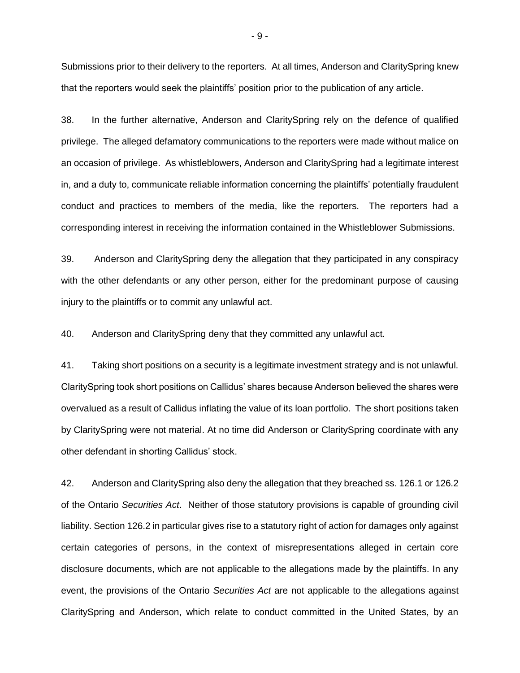Submissions prior to their delivery to the reporters. At all times, Anderson and ClaritySpring knew that the reporters would seek the plaintiffs' position prior to the publication of any article.

38. In the further alternative, Anderson and ClaritySpring rely on the defence of qualified privilege. The alleged defamatory communications to the reporters were made without malice on an occasion of privilege. As whistleblowers, Anderson and ClaritySpring had a legitimate interest in, and a duty to, communicate reliable information concerning the plaintiffs' potentially fraudulent conduct and practices to members of the media, like the reporters. The reporters had a corresponding interest in receiving the information contained in the Whistleblower Submissions.

39. Anderson and ClaritySpring deny the allegation that they participated in any conspiracy with the other defendants or any other person, either for the predominant purpose of causing injury to the plaintiffs or to commit any unlawful act.

40. Anderson and ClaritySpring deny that they committed any unlawful act.

41. Taking short positions on a security is a legitimate investment strategy and is not unlawful. ClaritySpring took short positions on Callidus' shares because Anderson believed the shares were overvalued as a result of Callidus inflating the value of its loan portfolio. The short positions taken by ClaritySpring were not material. At no time did Anderson or ClaritySpring coordinate with any other defendant in shorting Callidus' stock.

42. Anderson and ClaritySpring also deny the allegation that they breached ss. 126.1 or 126.2 of the Ontario *Securities Act*. Neither of those statutory provisions is capable of grounding civil liability. Section 126.2 in particular gives rise to a statutory right of action for damages only against certain categories of persons, in the context of misrepresentations alleged in certain core disclosure documents, which are not applicable to the allegations made by the plaintiffs. In any event, the provisions of the Ontario *Securities Act* are not applicable to the allegations against ClaritySpring and Anderson, which relate to conduct committed in the United States, by an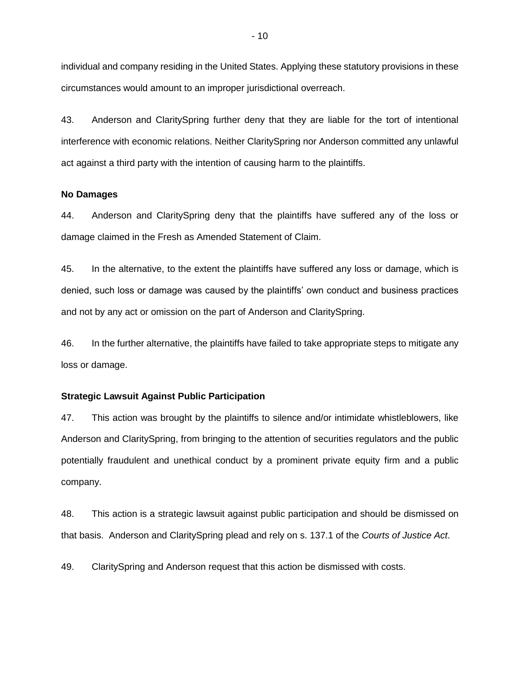individual and company residing in the United States. Applying these statutory provisions in these circumstances would amount to an improper jurisdictional overreach.

43. Anderson and ClaritySpring further deny that they are liable for the tort of intentional interference with economic relations. Neither ClaritySpring nor Anderson committed any unlawful act against a third party with the intention of causing harm to the plaintiffs.

#### **No Damages**

44. Anderson and ClaritySpring deny that the plaintiffs have suffered any of the loss or damage claimed in the Fresh as Amended Statement of Claim.

45. In the alternative, to the extent the plaintiffs have suffered any loss or damage, which is denied, such loss or damage was caused by the plaintiffs' own conduct and business practices and not by any act or omission on the part of Anderson and ClaritySpring.

46. In the further alternative, the plaintiffs have failed to take appropriate steps to mitigate any loss or damage.

#### **Strategic Lawsuit Against Public Participation**

47. This action was brought by the plaintiffs to silence and/or intimidate whistleblowers, like Anderson and ClaritySpring, from bringing to the attention of securities regulators and the public potentially fraudulent and unethical conduct by a prominent private equity firm and a public company.

48. This action is a strategic lawsuit against public participation and should be dismissed on that basis. Anderson and ClaritySpring plead and rely on s. 137.1 of the *Courts of Justice Act*.

49. ClaritySpring and Anderson request that this action be dismissed with costs.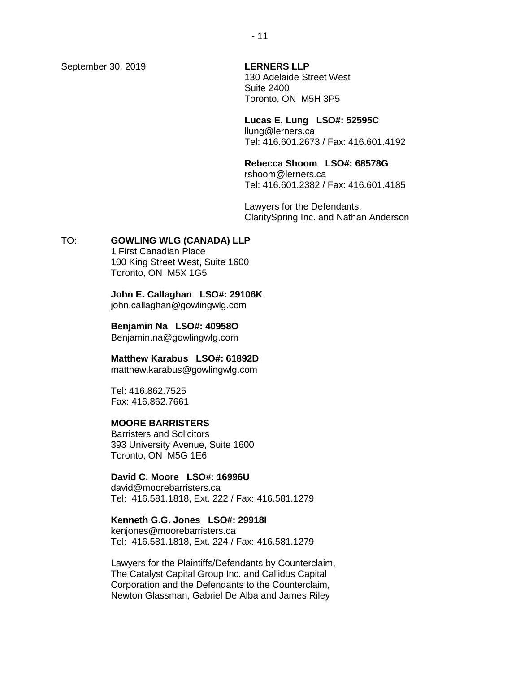September 30, 2019 **LERNERS LLP**

130 Adelaide Street West Suite 2400 Toronto, ON M5H 3P5

#### **Lucas E. Lung LSO#: 52595C**

llung@lerners.ca Tel: 416.601.2673 / Fax: 416.601.4192

### **Rebecca Shoom LSO#: 68578G**

rshoom@lerners.ca Tel: 416.601.2382 / Fax: 416.601.4185

Lawyers for the Defendants, ClaritySpring Inc. and Nathan Anderson

### TO: **GOWLING WLG (CANADA) LLP**

1 First Canadian Place 100 King Street West, Suite 1600 Toronto, ON M5X 1G5

**John E. Callaghan LSO#: 29106K** john.callaghan@gowlingwlg.com

## **Benjamin Na LSO#: 40958O**

Benjamin.na@gowlingwlg.com

#### **Matthew Karabus LSO#: 61892D**

matthew.karabus@gowlingwlg.com

Tel: 416.862.7525 Fax: 416.862.7661

#### **MOORE BARRISTERS**

Barristers and Solicitors 393 University Avenue, Suite 1600 Toronto, ON M5G 1E6

## **David C. Moore LSO#: 16996U**

david@moorebarristers.ca Tel: 416.581.1818, Ext. 222 / Fax: 416.581.1279

## **Kenneth G.G. Jones LSO#: 29918I**

kenjones@moorebarristers.ca Tel: 416.581.1818, Ext. 224 / Fax: 416.581.1279

Lawyers for the Plaintiffs/Defendants by Counterclaim, The Catalyst Capital Group Inc. and Callidus Capital Corporation and the Defendants to the Counterclaim, Newton Glassman, Gabriel De Alba and James Riley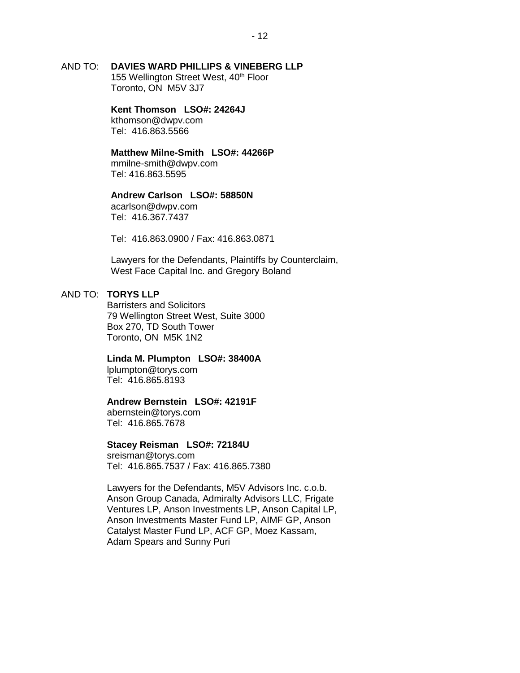## AND TO: **DAVIES WARD PHILLIPS & VINEBERG LLP**

155 Wellington Street West, 40<sup>th</sup> Floor Toronto, ON M5V 3J7

# **Kent Thomson LSO#: 24264J**

kthomson@dwpv.com Tel: 416.863.5566

## **Matthew Milne-Smith LSO#: 44266P**

mmilne-smith@dwpv.com Tel: 416.863.5595

### **Andrew Carlson LSO#: 58850N**

acarlson@dwpv.com Tel: 416.367.7437

Tel: 416.863.0900 / Fax: 416.863.0871

Lawyers for the Defendants, Plaintiffs by Counterclaim, West Face Capital Inc. and Gregory Boland

### AND TO: **TORYS LLP**

Barristers and Solicitors 79 Wellington Street West, Suite 3000 Box 270, TD South Tower Toronto, ON M5K 1N2

#### **Linda M. Plumpton LSO#: 38400A**

lplumpton@torys.com Tel: 416.865.8193

#### **Andrew Bernstein LSO#: 42191F**

abernstein@torys.com Tel: 416.865.7678

#### **Stacey Reisman LSO#: 72184U**

sreisman@torys.com Tel: 416.865.7537 / Fax: 416.865.7380

Lawyers for the Defendants, M5V Advisors Inc. c.o.b. Anson Group Canada, Admiralty Advisors LLC, Frigate Ventures LP, Anson Investments LP, Anson Capital LP, Anson Investments Master Fund LP, AIMF GP, Anson Catalyst Master Fund LP, ACF GP, Moez Kassam, Adam Spears and Sunny Puri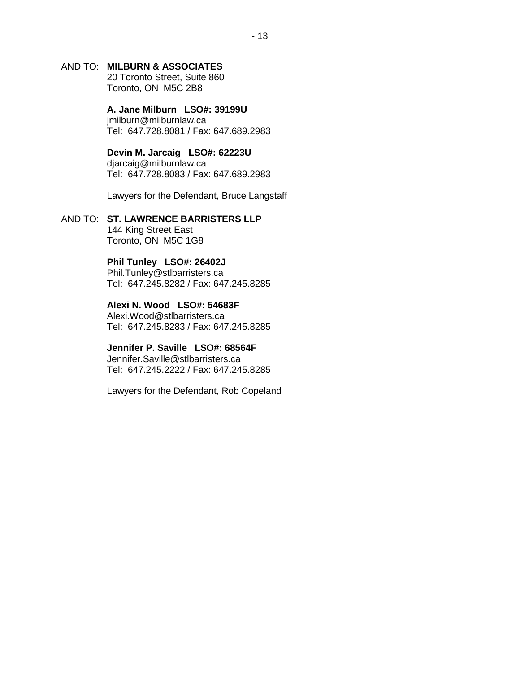## AND TO: **MILBURN & ASSOCIATES**

20 Toronto Street, Suite 860 Toronto, ON M5C 2B8

**A. Jane Milburn LSO#: 39199U** jmilburn@milburnlaw.ca Tel: 647.728.8081 / Fax: 647.689.2983

**Devin M. Jarcaig LSO#: 62223U** djarcaig@milburnlaw.ca Tel: 647.728.8083 / Fax: 647.689.2983

Lawyers for the Defendant, Bruce Langstaff

### AND TO: **ST. LAWRENCE BARRISTERS LLP** 144 King Street East Toronto, ON M5C 1G8

## **Phil Tunley LSO#: 26402J**

Phil.Tunley@stlbarristers.ca Tel: 647.245.8282 / Fax: 647.245.8285

## **Alexi N. Wood LSO#: 54683F**

Alexi.Wood@stlbarristers.ca Tel: 647.245.8283 / Fax: 647.245.8285

### **Jennifer P. Saville LSO#: 68564F**

Jennifer.Saville@stlbarristers.ca Tel: 647.245.2222 / Fax: 647.245.8285

Lawyers for the Defendant, Rob Copeland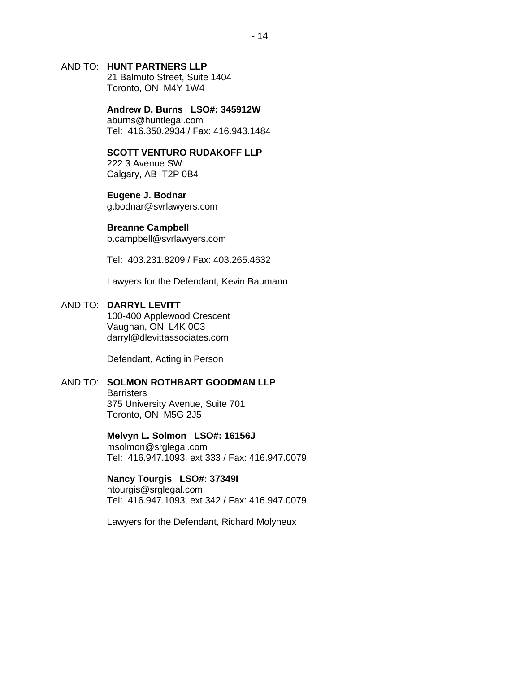### AND TO: **HUNT PARTNERS LLP**

21 Balmuto Street, Suite 1404 Toronto, ON M4Y 1W4

**Andrew D. Burns LSO#: 345912W** aburns@huntlegal.com Tel: 416.350.2934 / Fax: 416.943.1484

#### **SCOTT VENTURO RUDAKOFF LLP**

222 3 Avenue SW Calgary, AB T2P 0B4

### **Eugene J. Bodnar**

g.bodnar@svrlawyers.com

### **Breanne Campbell**

b.campbell@svrlawyers.com

Tel: 403.231.8209 / Fax: 403.265.4632

Lawyers for the Defendant, Kevin Baumann

## AND TO: **DARRYL LEVITT**

100-400 Applewood Crescent Vaughan, ON L4K 0C3 darryl@dlevittassociates.com

Defendant, Acting in Person

#### AND TO: **SOLMON ROTHBART GOODMAN LLP**

**Barristers** 375 University Avenue, Suite 701 Toronto, ON M5G 2J5

**Melvyn L. Solmon LSO#: 16156J** msolmon@srglegal.com Tel: 416.947.1093, ext 333 / Fax: 416.947.0079

## **Nancy Tourgis LSO#: 37349I**

ntourgis@srglegal.com Tel: 416.947.1093, ext 342 / Fax: 416.947.0079

Lawyers for the Defendant, Richard Molyneux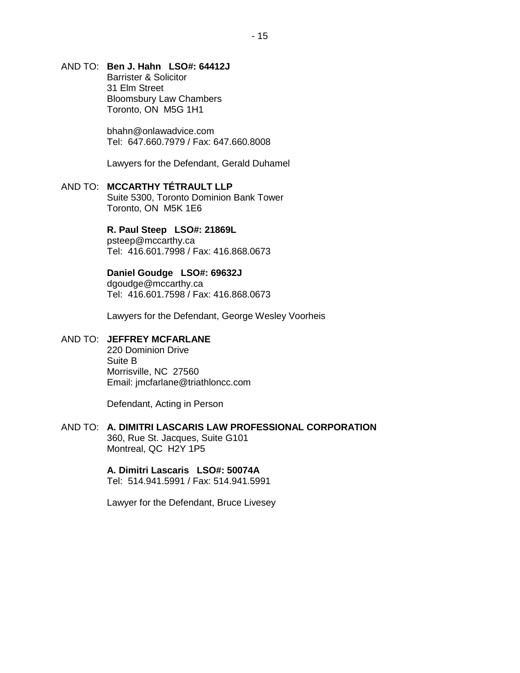## AND TO: **Ben J. Hahn LSO#: 64412J**

Barrister & Solicitor 31 Elm Street Bloomsbury Law Chambers Toronto, ON M5G 1H1

bhahn@onlawadvice.com Tel: 647.660.7979 / Fax: 647.660.8008

Lawyers for the Defendant, Gerald Duhamel

### AND TO: **MCCARTHY TÉTRAULT LLP** Suite 5300, Toronto Dominion Bank Tower Toronto, ON M5K 1E6

**R. Paul Steep LSO#: 21869L**

psteep@mccarthy.ca Tel: 416.601.7998 / Fax: 416.868.0673

## **Daniel Goudge LSO#: 69632J**

dgoudge@mccarthy.ca Tel: 416.601.7598 / Fax: 416.868.0673

Lawyers for the Defendant, George Wesley Voorheis

### AND TO: **JEFFREY MCFARLANE**

220 Dominion Drive Suite B Morrisville, NC 27560 Email: jmcfarlane@triathloncc.com

Defendant, Acting in Person

### AND TO: **A. DIMITRI LASCARIS LAW PROFESSIONAL CORPORATION** 360, Rue St. Jacques, Suite G101 Montreal, QC H2Y 1P5

#### **A. Dimitri Lascaris LSO#: 50074A** Tel: 514.941.5991 / Fax: 514.941.5991

Lawyer for the Defendant, Bruce Livesey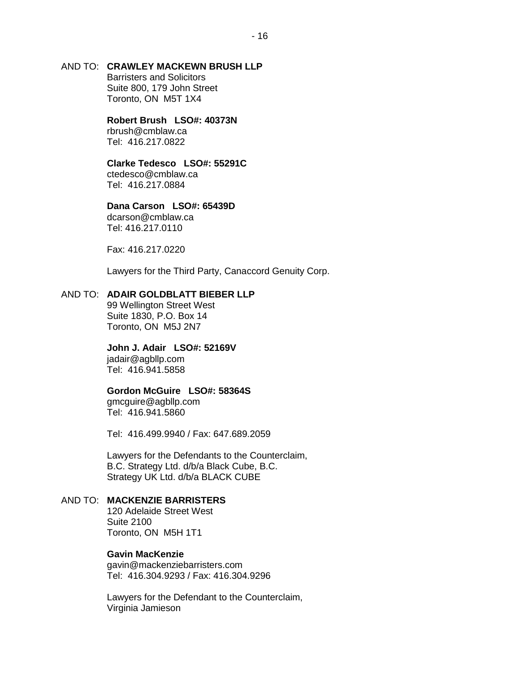## AND TO: **CRAWLEY MACKEWN BRUSH LLP**

Barristers and Solicitors Suite 800, 179 John Street Toronto, ON M5T 1X4

#### **Robert Brush LSO#: 40373N**

rbrush@cmblaw.ca Tel: 416.217.0822

#### **Clarke Tedesco LSO#: 55291C**

ctedesco@cmblaw.ca Tel: 416.217.0884

### **Dana Carson LSO#: 65439D**

dcarson@cmblaw.ca Tel: 416.217.0110

Fax: 416.217.0220

Lawyers for the Third Party, Canaccord Genuity Corp.

### AND TO: **ADAIR GOLDBLATT BIEBER LLP**

99 Wellington Street West Suite 1830, P.O. Box 14 Toronto, ON M5J 2N7

#### **John J. Adair LSO#: 52169V** jadair@agbllp.com

Tel: 416.941.5858

#### **Gordon McGuire LSO#: 58364S**

gmcguire@agbllp.com Tel: 416.941.5860

Tel: 416.499.9940 / Fax: 647.689.2059

Lawyers for the Defendants to the Counterclaim, B.C. Strategy Ltd. d/b/a Black Cube, B.C. Strategy UK Ltd. d/b/a BLACK CUBE

### AND TO: **MACKENZIE BARRISTERS**

120 Adelaide Street West Suite 2100 Toronto, ON M5H 1T1

#### **Gavin MacKenzie**

gavin@mackenziebarristers.com Tel: 416.304.9293 / Fax: 416.304.9296

Lawyers for the Defendant to the Counterclaim, Virginia Jamieson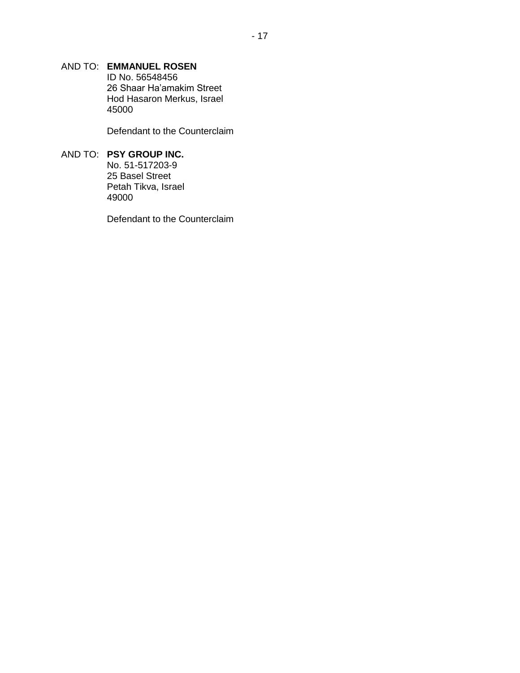## AND TO: **EMMANUEL ROSEN**

ID No. 56548456 26 Shaar Ha'amakim Street Hod Hasaron Merkus, Israel 45000

Defendant to the Counterclaim

## AND TO: **PSY GROUP INC.**

No. 51-517203-9 25 Basel Street Petah Tikva, Israel 49000

Defendant to the Counterclaim